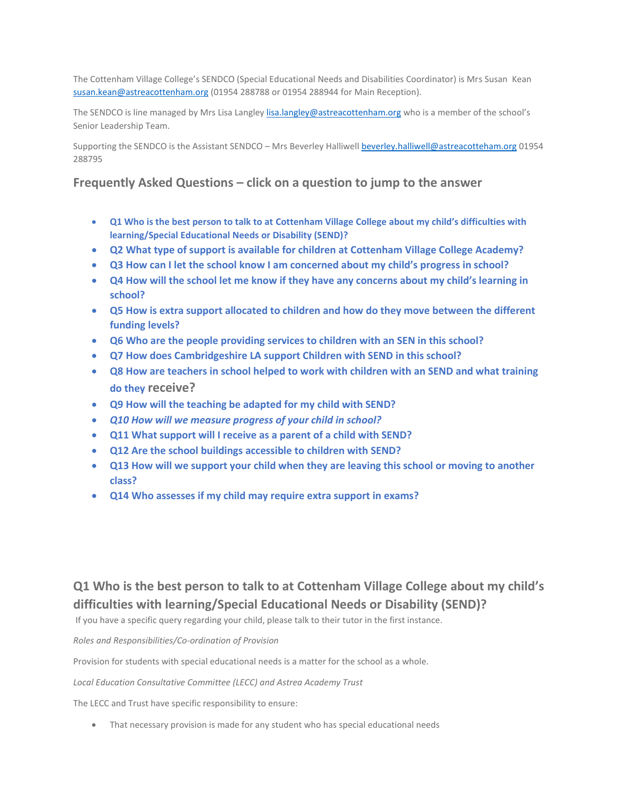The Cottenham Village College's SENDCO (Special Educational Needs and Disabilities Coordinator) is Mrs Susan Kean [susan.kean@astreacottenham.org](mailto:susan.kean@astreacottenham.org) (01954 288788 or 01954 288944 for Main Reception).

The SENDCO is line managed by Mrs Lisa Langley [lisa.langley@astreacottenham.org](mailto:lisa.langley@astreacottenham.org) who is a member of the school's Senior Leadership Team.

Supporting the SENDCO is the Assistant SENDCO - Mrs Beverley Halliwel[l beverley.halliwell@astreacotteham.org](mailto:beverley.halliwell@astreacotteham.org) 01954 288795

## **Frequently Asked Questions – click on a question to jump to the answer**

- **[Q1 Who is the best person to talk to at Cottenham Village College](#page-0-0) about my child's difficulties with [learning/Special Educational Needs or Disability \(SEND\)?](#page-0-0)**
- **[Q2 What type of support is available for children at Cottenham Village College](#page-1-0) Academy?**
- **[Q3 How can I let the school know I am concerned about my child's progress in school?](#page-3-0)**
- **[Q4 How will the school let me know if they have any concerns about my child's learning in](#page-3-1)  [school?](#page-3-1)**
- **[Q5 How is extra support allocated to children and how do they move between the different](#page-3-2)  [funding levels?](#page-3-2)**
- **[Q6 Who are the people providing services to children with an SEN in this school?](#page-4-0)**
- **[Q7 How does Cambridgeshire LA support Children with SEND in this school?](#page-4-1)**
- **[Q8 How are teachers in school helped to work with children with an SEND and what training](#page-4-2)  do they [receive?](#page-4-2)**
- **[Q9 How will the teaching be adapted for my child with SEND?](#page-4-3)**
- *[Q10 How will we measure progress of your child in school?](#page-5-0)*
- **[Q11 What support will I receive as a parent of a child with SEND?](#page-5-1)**
- **[Q12 Are the school buildings accessible to children with SEND?](#page-5-2)**
- **[Q13 How will we support your child when they are leaving this school or moving to another](#page-5-3)  [class?](#page-5-3)**
- **[Q14 Who assesses if my child may require extra support in exams?](#page-6-0)**

# <span id="page-0-0"></span>**Q1 Who is the best person to talk to at Cottenham Village College about my child's difficulties with learning/Special Educational Needs or Disability (SEND)?**

If you have a specific query regarding your child, please talk to their tutor in the first instance.

*Roles and Responsibilities/Co-ordination of Provision*

Provision for students with special educational needs is a matter for the school as a whole.

*Local Education Consultative Committee (LECC) and Astrea Academy Trust*

The LECC and Trust have specific responsibility to ensure:

• That necessary provision is made for any student who has special educational needs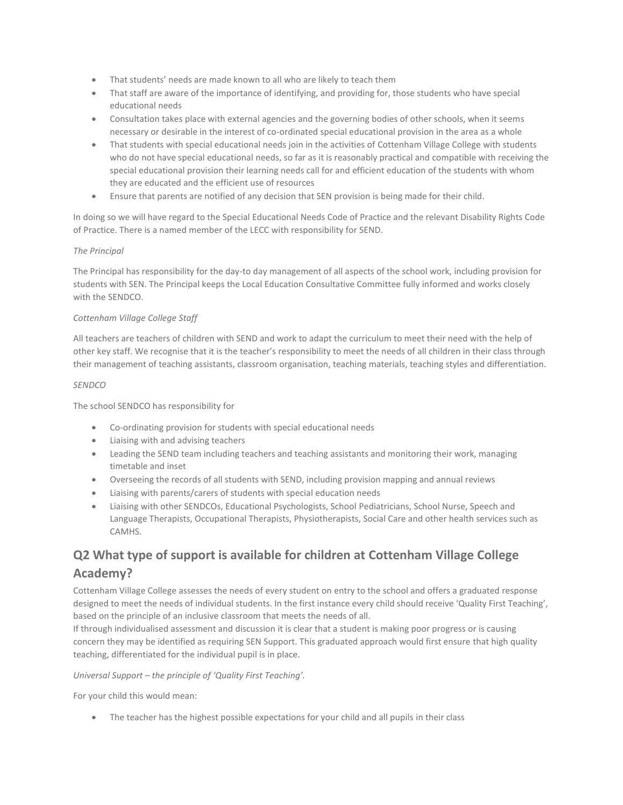- That students' needs are made known to all who are likely to teach them
- That staff are aware of the importance of identifying, and providing for, those students who have special educational needs
- Consultation takes place with external agencies and the governing bodies of other schools, when it seems necessary or desirable in the interest of co-ordinated special educational provision in the area as a whole
- That students with special educational needs join in the activities of Cottenham Village College with students who do not have special educational needs, so far as it is reasonably practical and compatible with receiving the special educational provision their learning needs call for and efficient education of the students with whom they are educated and the efficient use of resources
- Ensure that parents are notified of any decision that SEN provision is being made for their child.

In doing so we will have regard to the Special Educational Needs Code of Practice and the relevant Disability Rights Code of Practice. There is a named member of the LECC with responsibility for SEND.

#### *The Principal*

The Principal has responsibility for the day-to day management of all aspects of the school work, including provision for students with SEN. The Principal keeps the Local Education Consultative Committee fully informed and works closely with the SENDCO.

#### *Cottenham Village College Staff*

All teachers are teachers of children with SEND and work to adapt the curriculum to meet their need with the help of other key staff. We recognise that it is the teacher's responsibility to meet the needs of all children in their class through their management of teaching assistants, classroom organisation, teaching materials, teaching styles and differentiation.

#### *SENDCO*

The school SENDCO has responsibility for

- Co-ordinating provision for students with special educational needs
- Liaising with and advising teachers
- Leading the SEND team including teachers and teaching assistants and monitoring their work, managing timetable and inset
- Overseeing the records of all students with SEND, including provision mapping and annual reviews
- Liaising with parents/carers of students with special education needs
- Liaising with other SENDCOs, Educational Psychologists, School Pediatricians, School Nurse, Speech and Language Therapists, Occupational Therapists, Physiotherapists, Social Care and other health services such as CAMHS.

# <span id="page-1-0"></span>**Q2 What type of support is available for children at Cottenham Village College Academy?**

Cottenham Village College assesses the needs of every student on entry to the school and offers a graduated response designed to meet the needs of individual students. In the first instance every child should receive 'Quality First Teaching', based on the principle of an inclusive classroom that meets the needs of all.

If through individualised assessment and discussion it is clear that a student is making poor progress or is causing concern they may be identified as requiring SEN Support. This graduated approach would first ensure that high quality teaching, differentiated for the individual pupil is in place.

#### *Universal Support – the principle of 'Quality First Teaching'.*

For your child this would mean:

• The teacher has the highest possible expectations for your child and all pupils in their class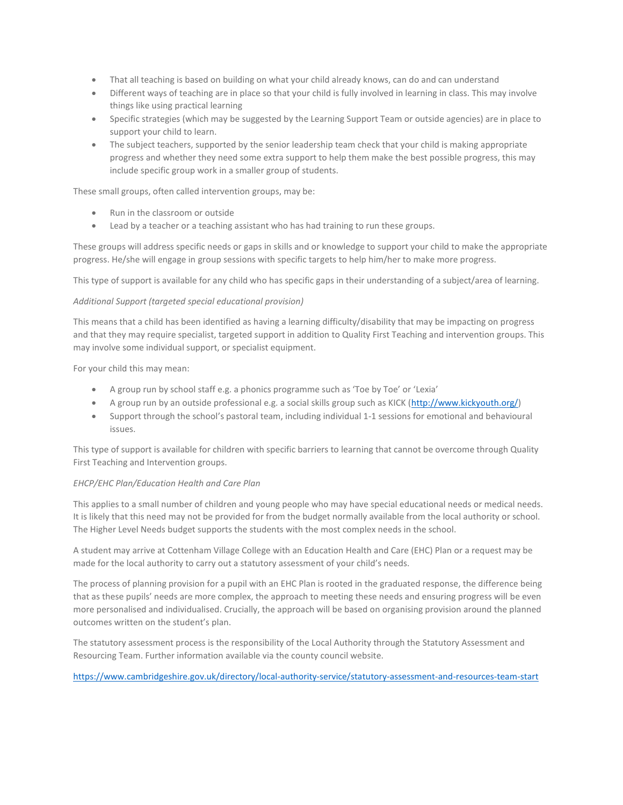- That all teaching is based on building on what your child already knows, can do and can understand
- Different ways of teaching are in place so that your child is fully involved in learning in class. This may involve things like using practical learning
- Specific strategies (which may be suggested by the Learning Support Team or outside agencies) are in place to support your child to learn.
- The subject teachers, supported by the senior leadership team check that your child is making appropriate progress and whether they need some extra support to help them make the best possible progress, this may include specific group work in a smaller group of students.

These small groups, often called intervention groups, may be:

- Run in the classroom or outside
- Lead by a teacher or a teaching assistant who has had training to run these groups.

These groups will address specific needs or gaps in skills and or knowledge to support your child to make the appropriate progress. He/she will engage in group sessions with specific targets to help him/her to make more progress.

This type of support is available for any child who has specific gaps in their understanding of a subject/area of learning.

#### *Additional Support (targeted special educational provision)*

This means that a child has been identified as having a learning difficulty/disability that may be impacting on progress and that they may require specialist, targeted support in addition to Quality First Teaching and intervention groups. This may involve some individual support, or specialist equipment.

For your child this may mean:

- A group run by school staff e.g. a phonics programme such as 'Toe by Toe' or 'Lexia'
- A group run by an outside professional e.g. a social skills group such as KICK [\(http://www.kickyouth.org/\)](http://www.kickyouth.org/)
- Support through the school's pastoral team, including individual 1-1 sessions for emotional and behavioural issues.

This type of support is available for children with specific barriers to learning that cannot be overcome through Quality First Teaching and Intervention groups.

#### *EHCP/EHC Plan/Education Health and Care Plan*

This applies to a small number of children and young people who may have special educational needs or medical needs. It is likely that this need may not be provided for from the budget normally available from the local authority or school. The Higher Level Needs budget supports the students with the most complex needs in the school.

A student may arrive at Cottenham Village College with an Education Health and Care (EHC) Plan or a request may be made for the local authority to carry out a statutory assessment of your child's needs.

The process of planning provision for a pupil with an EHC Plan is rooted in the graduated response, the difference being that as these pupils' needs are more complex, the approach to meeting these needs and ensuring progress will be even more personalised and individualised. Crucially, the approach will be based on organising provision around the planned outcomes written on the student's plan.

The statutory assessment process is the responsibility of the Local Authority through the Statutory Assessment and Resourcing Team. Further information available via the county council website.

<https://www.cambridgeshire.gov.uk/directory/local-authority-service/statutory-assessment-and-resources-team-start>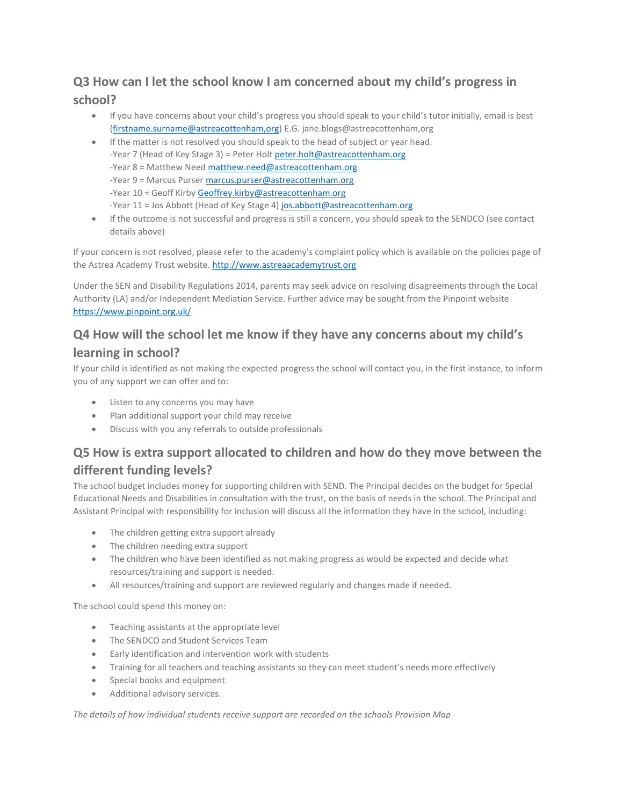# <span id="page-3-0"></span>**Q3 How can I let the school know I am concerned about my child's progress in school?**

- If you have concerns about your child's progress you should speak to your child's tutor initially, email is best [\(firstname.surname@astreacottenham,org\)](mailto:firstname.surname@astreastivo,org) E.G. jane.blogs@astreacottenham,org
- If the matter is not resolved you should speak to the head of subject or year head. -Year 7 (Head of Key Stage 3) = Peter Holt [peter.holt@astreacottenham.org](mailto:peter.holt@astreacottenham.org) -Year 8 = Matthew Nee[d matthew.need@astreacottenham.org](mailto:matthew.need@astreacottenham.org) -Year 9 = Marcus Purser [marcus.purser@astreacottenham.org](mailto:marcus.purser@astreacottenham.org) -Year 10 = Geoff Kirby [Geoffrey.kirby@astreacottenham.org](mailto:Geoffrey.kirby@astreacottenham.org) -Year 11 = Jos Abbott (Head of Key Stage 4[\) jos.abbott@astreacottenham.org](mailto:jos.abbott@astreacottenham.org)
- If the outcome is not successful and progress is still a concern, you should speak to the SENDCO (see contact details above)

If your concern is not resolved, please refer to the academy's complaint policy which is available on the policies page of the Astrea Academy Trust website. [http://www.astreaacademytrust.org](http://www.astreaacademytrust.org/)

Under the SEN and Disability Regulations 2014, parents may seek advice on resolving disagreements through the Local Authority (LA) and/or Independent Mediation Service. Further advice may be sought from the Pinpoint website <https://www.pinpoint.org.uk/>

## <span id="page-3-1"></span>**Q4 How will the school let me know if they have any concerns about my child's**

## **learning in school?**

If your child is identified as not making the expected progress the school will contact you, in the first instance, to inform you of any support we can offer and to:

- Listen to any concerns you may have
- Plan additional support your child may receive
- Discuss with you any referrals to outside professionals

# <span id="page-3-2"></span>**Q5 How is extra support allocated to children and how do they move between the different funding levels?**

The school budget includes money for supporting children with SEND. The Principal decides on the budget for Special Educational Needs and Disabilities in consultation with the trust, on the basis of needs in the school. The Principal and Assistant Principal with responsibility for inclusion will discuss all the information they have in the school, including:

- The children getting extra support already
- The children needing extra support
- The children who have been identified as not making progress as would be expected and decide what resources/training and support is needed.
- All resources/training and support are reviewed regularly and changes made if needed.

The school could spend this money on:

- Teaching assistants at the appropriate level
- The SENDCO and Student Services Team
- Early identification and intervention work with students
- Training for all teachers and teaching assistants so they can meet student's needs more effectively
- Special books and equipment
- Additional advisory services.

*The details of how individual students receive support are recorded on the schools Provision Map*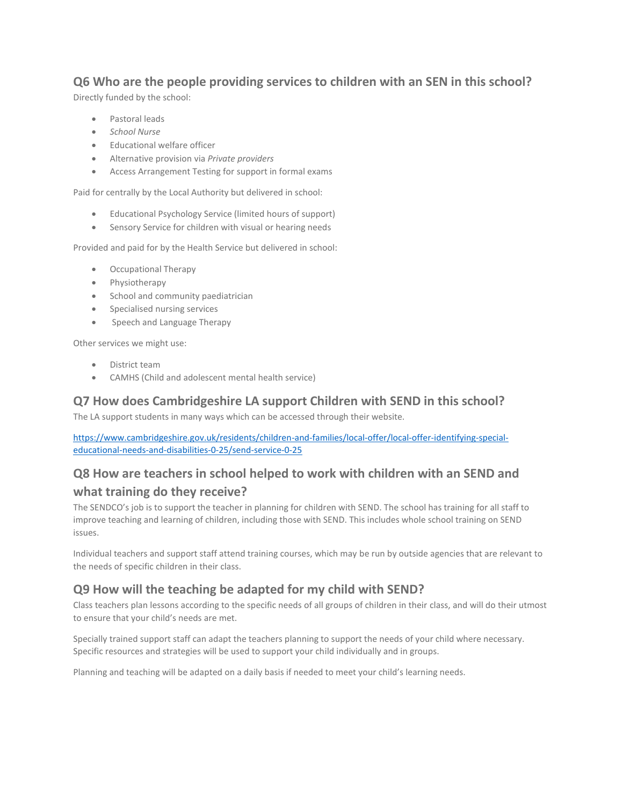## <span id="page-4-0"></span>**Q6 Who are the people providing services to children with an SEN in this school?**

Directly funded by the school:

- Pastoral leads
- *School Nurse*
- Educational welfare officer
- Alternative provision via *Private providers*
- Access Arrangement Testing for support in formal exams

Paid for centrally by the Local Authority but delivered in school:

- Educational Psychology Service (limited hours of support)
- Sensory Service for children with visual or hearing needs

Provided and paid for by the Health Service but delivered in school:

- Occupational Therapy
- Physiotherapy
- School and community paediatrician
- Specialised nursing services
- Speech and Language Therapy

Other services we might use:

- District team
- CAMHS (Child and adolescent mental health service)

## <span id="page-4-1"></span>**Q7 How does Cambridgeshire LA support Children with SEND in this school?**

The LA support students in many ways which can be accessed through their website.

[https://www.cambridgeshire.gov.uk/residents/children-and-families/local-offer/local-offer-identifying-special](https://www.cambridgeshire.gov.uk/residents/children-and-families/local-offer/local-offer-identifying-special-educational-needs-and-disabilities-0-25/send-service-0-25)[educational-needs-and-disabilities-0-25/send-service-0-25](https://www.cambridgeshire.gov.uk/residents/children-and-families/local-offer/local-offer-identifying-special-educational-needs-and-disabilities-0-25/send-service-0-25)

# <span id="page-4-2"></span>**Q8 How are teachers in school helped to work with children with an SEND and what training do they receive?**

The SENDCO's job is to support the teacher in planning for children with SEND. The school has training for all staff to improve teaching and learning of children, including those with SEND. This includes whole school training on SEND issues.

Individual teachers and support staff attend training courses, which may be run by outside agencies that are relevant to the needs of specific children in their class.

## <span id="page-4-3"></span>**Q9 How will the teaching be adapted for my child with SEND?**

Class teachers plan lessons according to the specific needs of all groups of children in their class, and will do their utmost to ensure that your child's needs are met.

Specially trained support staff can adapt the teachers planning to support the needs of your child where necessary. Specific resources and strategies will be used to support your child individually and in groups.

Planning and teaching will be adapted on a daily basis if needed to meet your child's learning needs.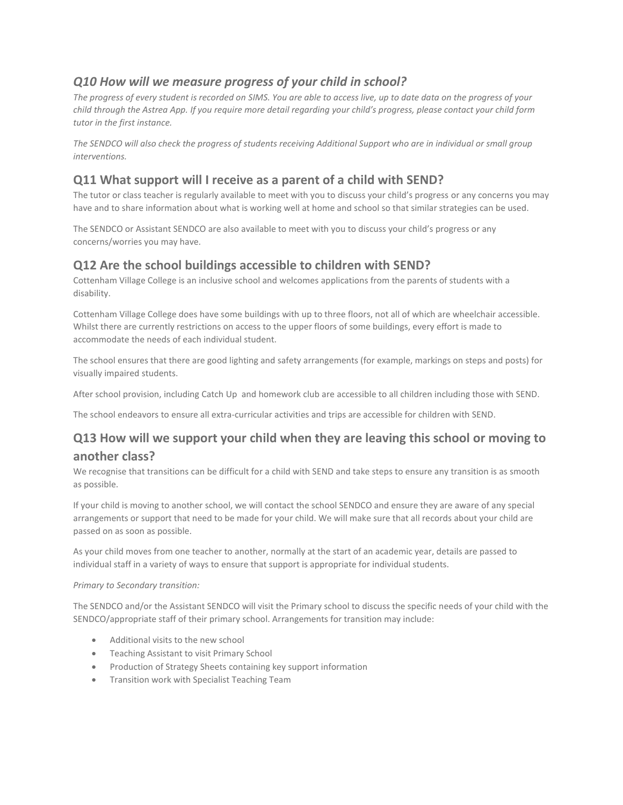## <span id="page-5-0"></span>*Q10 How will we measure progress of your child in school?*

*The progress of every student is recorded on SIMS. You are able to access live, up to date data on the progress of your child through the Astrea App. If you require more detail regarding your child's progress, please contact your child form tutor in the first instance.*

*The SENDCO will also check the progress of students receiving Additional Support who are in individual or small group interventions.*

## <span id="page-5-1"></span>**Q11 What support will I receive as a parent of a child with SEND?**

The tutor or class teacher is regularly available to meet with you to discuss your child's progress or any concerns you may have and to share information about what is working well at home and school so that similar strategies can be used.

The SENDCO or Assistant SENDCO are also available to meet with you to discuss your child's progress or any concerns/worries you may have.

## <span id="page-5-2"></span>**Q12 Are the school buildings accessible to children with SEND?**

Cottenham Village College is an inclusive school and welcomes applications from the parents of students with a disability.

Cottenham Village College does have some buildings with up to three floors, not all of which are wheelchair accessible. Whilst there are currently restrictions on access to the upper floors of some buildings, every effort is made to accommodate the needs of each individual student.

The school ensures that there are good lighting and safety arrangements (for example, markings on steps and posts) for visually impaired students.

After school provision, including Catch Up and homework club are accessible to all children including those with SEND.

The school endeavors to ensure all extra-curricular activities and trips are accessible for children with SEND.

## <span id="page-5-3"></span>**Q13 How will we support your child when they are leaving this school or moving to another class?**

We recognise that transitions can be difficult for a child with SEND and take steps to ensure any transition is as smooth as possible.

If your child is moving to another school, we will contact the school SENDCO and ensure they are aware of any special arrangements or support that need to be made for your child. We will make sure that all records about your child are passed on as soon as possible.

As your child moves from one teacher to another, normally at the start of an academic year, details are passed to individual staff in a variety of ways to ensure that support is appropriate for individual students.

#### *Primary to Secondary transition:*

The SENDCO and/or the Assistant SENDCO will visit the Primary school to discuss the specific needs of your child with the SENDCO/appropriate staff of their primary school. Arrangements for transition may include:

- Additional visits to the new school
- Teaching Assistant to visit Primary School
- Production of Strategy Sheets containing key support information
- Transition work with Specialist Teaching Team